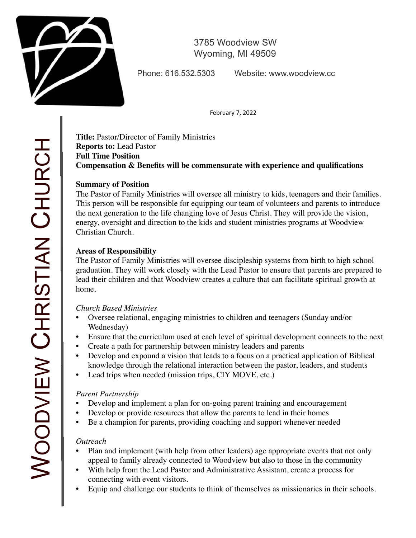

3785 Woodview SW Wyoming, MI 49509

Phone: 616.532.5303 Website: www.woodview.cc

February 7, 2022

**Title:** Pastor/Director of Family Ministries **Reports to:** Lead Pastor **Full Time Position Compensation & Benefits will be commensurate with experience and qualifications**

## **Summary of Position**

The Pastor of Family Ministries will oversee all ministry to kids, teenagers and their families. This person will be responsible for equipping our team of volunteers and parents to introduce the next generation to the life changing love of Jesus Christ. They will provide the vision, energy, oversight and direction to the kids and student ministries programs at Woodview Christian Church.

# **Areas of Responsibility**

The Pastor of Family Ministries will oversee discipleship systems from birth to high school graduation. They will work closely with the Lead Pastor to ensure that parents are prepared to lead their children and that Woodview creates a culture that can facilitate spiritual growth at home.

## *Church Based Ministries*

- Oversee relational, engaging ministries to children and teenagers (Sunday and/or Wednesday)
- Ensure that the curriculum used at each level of spiritual development connects to the next
- Create a path for partnership between ministry leaders and parents
- Develop and expound a vision that leads to a focus on a practical application of Biblical knowledge through the relational interaction between the pastor, leaders, and students
- Lead trips when needed (mission trips, CIY MOVE, etc.)

# *Parent Partnership*

- Develop and implement a plan for on-going parent training and encouragement
- Develop or provide resources that allow the parents to lead in their homes
- Be a champion for parents, providing coaching and support whenever needed

## *Outreach*

- Plan and implement (with help from other leaders) age appropriate events that not only appeal to family already connected to Woodview but also to those in the community
- With help from the Lead Pastor and Administrative Assistant, create a process for connecting with event visitors.
- Equip and challenge our students to think of themselves as missionaries in their schools.